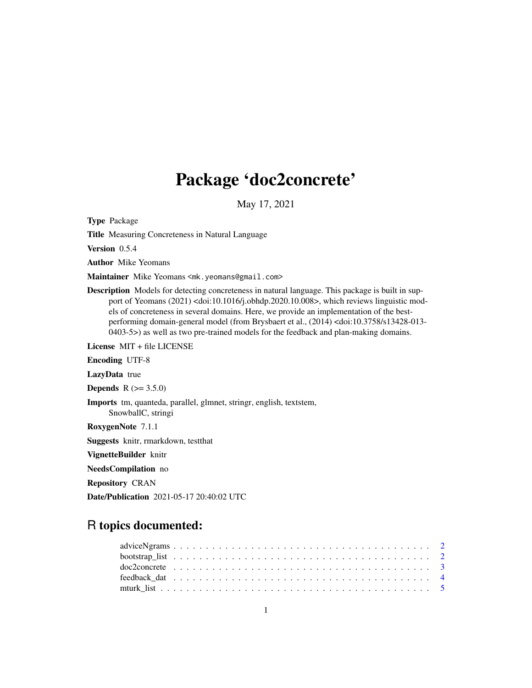## Package 'doc2concrete'

May 17, 2021

Type Package

Title Measuring Concreteness in Natural Language

Version 0.5.4

Author Mike Yeomans

Maintainer Mike Yeomans <mk.yeomans@gmail.com>

Description Models for detecting concreteness in natural language. This package is built in support of Yeomans (2021) <doi:10.1016/j.obhdp.2020.10.008>, which reviews linguistic models of concreteness in several domains. Here, we provide an implementation of the bestperforming domain-general model (from Brysbaert et al., (2014) <doi:10.3758/s13428-013- 0403-5>) as well as two pre-trained models for the feedback and plan-making domains.

License MIT + file LICENSE

Encoding UTF-8

LazyData true

**Depends**  $R (= 3.5.0)$ 

Imports tm, quanteda, parallel, glmnet, stringr, english, textstem, SnowballC, stringi

RoxygenNote 7.1.1

Suggests knitr, rmarkdown, testthat

VignetteBuilder knitr

NeedsCompilation no

Repository CRAN

Date/Publication 2021-05-17 20:40:02 UTC

## R topics documented: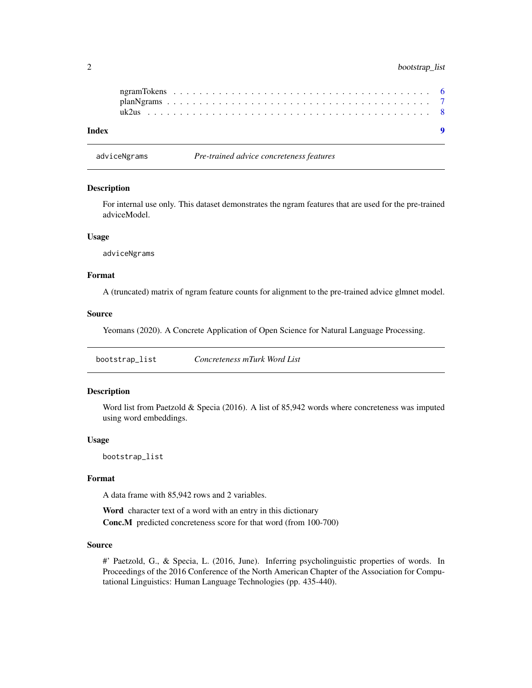#### <span id="page-1-0"></span>2 bootstrap\_list

| Index |  |  |  |  |  |  |  |  |  |  |  |  |  |  |  |  |  |  |  |  |  |
|-------|--|--|--|--|--|--|--|--|--|--|--|--|--|--|--|--|--|--|--|--|--|
|       |  |  |  |  |  |  |  |  |  |  |  |  |  |  |  |  |  |  |  |  |  |
|       |  |  |  |  |  |  |  |  |  |  |  |  |  |  |  |  |  |  |  |  |  |
|       |  |  |  |  |  |  |  |  |  |  |  |  |  |  |  |  |  |  |  |  |  |

adviceNgrams *Pre-trained advice concreteness features*

#### Description

For internal use only. This dataset demonstrates the ngram features that are used for the pre-trained adviceModel.

#### Usage

adviceNgrams

#### Format

A (truncated) matrix of ngram feature counts for alignment to the pre-trained advice glmnet model.

#### Source

Yeomans (2020). A Concrete Application of Open Science for Natural Language Processing.

bootstrap\_list *Concreteness mTurk Word List*

#### Description

Word list from Paetzold & Specia (2016). A list of 85,942 words where concreteness was imputed using word embeddings.

#### Usage

bootstrap\_list

#### Format

A data frame with 85,942 rows and 2 variables.

Word character text of a word with an entry in this dictionary Conc.M predicted concreteness score for that word (from 100-700)

#### Source

#' Paetzold, G., & Specia, L. (2016, June). Inferring psycholinguistic properties of words. In Proceedings of the 2016 Conference of the North American Chapter of the Association for Computational Linguistics: Human Language Technologies (pp. 435-440).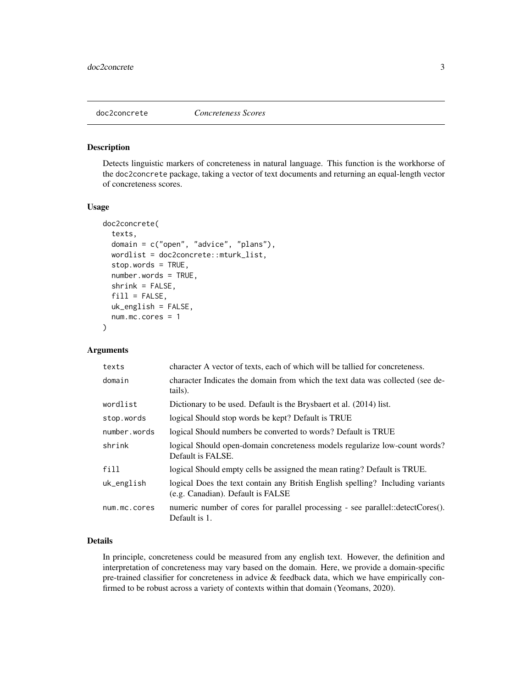<span id="page-2-0"></span>

#### Description

Detects linguistic markers of concreteness in natural language. This function is the workhorse of the doc2concrete package, taking a vector of text documents and returning an equal-length vector of concreteness scores.

#### Usage

```
doc2concrete(
  texts,
  domain = c("open", "advice", "plans"),
  wordlist = doc2concrete::mturk_list,
  stop.words = TRUE,
  number.words = TRUE,
  shrink = FALSE,
  fill = FALSE,uk_english = FALSE,
 num.mc.cores = 1
)
```
#### Arguments

| texts        | character A vector of texts, each of which will be tallied for concreteness.                                        |
|--------------|---------------------------------------------------------------------------------------------------------------------|
| domain       | character Indicates the domain from which the text data was collected (see de-<br>tails).                           |
| wordlist     | Dictionary to be used. Default is the Brysbaert et al. (2014) list.                                                 |
| stop.words   | logical Should stop words be kept? Default is TRUE                                                                  |
| number.words | logical Should numbers be converted to words? Default is TRUE                                                       |
| shrink       | logical Should open-domain concreteness models regularize low-count words?<br>Default is FALSE.                     |
| fill         | logical Should empty cells be assigned the mean rating? Default is TRUE.                                            |
| uk_english   | logical Does the text contain any British English spelling? Including variants<br>(e.g. Canadian). Default is FALSE |
| num.mc.cores | numeric number of cores for parallel processing - see parallel::detectCores().<br>Default is 1.                     |

#### Details

In principle, concreteness could be measured from any english text. However, the definition and interpretation of concreteness may vary based on the domain. Here, we provide a domain-specific pre-trained classifier for concreteness in advice & feedback data, which we have empirically confirmed to be robust across a variety of contexts within that domain (Yeomans, 2020).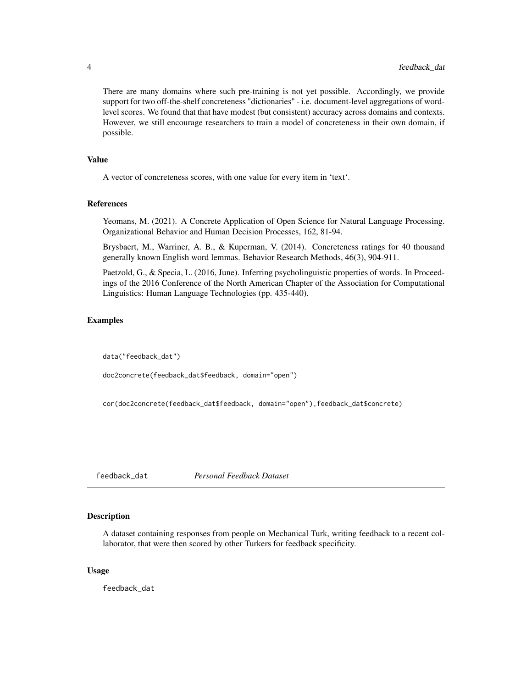<span id="page-3-0"></span>There are many domains where such pre-training is not yet possible. Accordingly, we provide support for two off-the-shelf concreteness "dictionaries" - i.e. document-level aggregations of wordlevel scores. We found that that have modest (but consistent) accuracy across domains and contexts. However, we still encourage researchers to train a model of concreteness in their own domain, if possible.

#### Value

A vector of concreteness scores, with one value for every item in 'text'.

#### References

Yeomans, M. (2021). A Concrete Application of Open Science for Natural Language Processing. Organizational Behavior and Human Decision Processes, 162, 81-94.

Brysbaert, M., Warriner, A. B., & Kuperman, V. (2014). Concreteness ratings for 40 thousand generally known English word lemmas. Behavior Research Methods, 46(3), 904-911.

Paetzold, G., & Specia, L. (2016, June). Inferring psycholinguistic properties of words. In Proceedings of the 2016 Conference of the North American Chapter of the Association for Computational Linguistics: Human Language Technologies (pp. 435-440).

#### Examples

data("feedback\_dat")

doc2concrete(feedback\_dat\$feedback, domain="open")

cor(doc2concrete(feedback\_dat\$feedback, domain="open"),feedback\_dat\$concrete)

feedback\_dat *Personal Feedback Dataset*

#### Description

A dataset containing responses from people on Mechanical Turk, writing feedback to a recent collaborator, that were then scored by other Turkers for feedback specificity.

#### Usage

feedback\_dat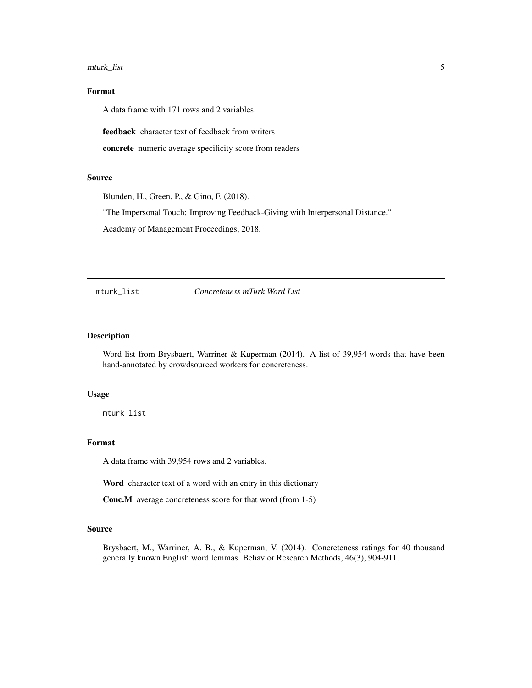#### <span id="page-4-0"></span>mturk\_list 5

#### Format

A data frame with 171 rows and 2 variables:

feedback character text of feedback from writers

concrete numeric average specificity score from readers

#### Source

Blunden, H., Green, P., & Gino, F. (2018).

"The Impersonal Touch: Improving Feedback-Giving with Interpersonal Distance."

Academy of Management Proceedings, 2018.

mturk\_list *Concreteness mTurk Word List*

#### Description

Word list from Brysbaert, Warriner & Kuperman (2014). A list of 39,954 words that have been hand-annotated by crowdsourced workers for concreteness.

#### Usage

mturk\_list

#### Format

A data frame with 39,954 rows and 2 variables.

Word character text of a word with an entry in this dictionary

Conc.M average concreteness score for that word (from 1-5)

#### Source

Brysbaert, M., Warriner, A. B., & Kuperman, V. (2014). Concreteness ratings for 40 thousand generally known English word lemmas. Behavior Research Methods, 46(3), 904-911.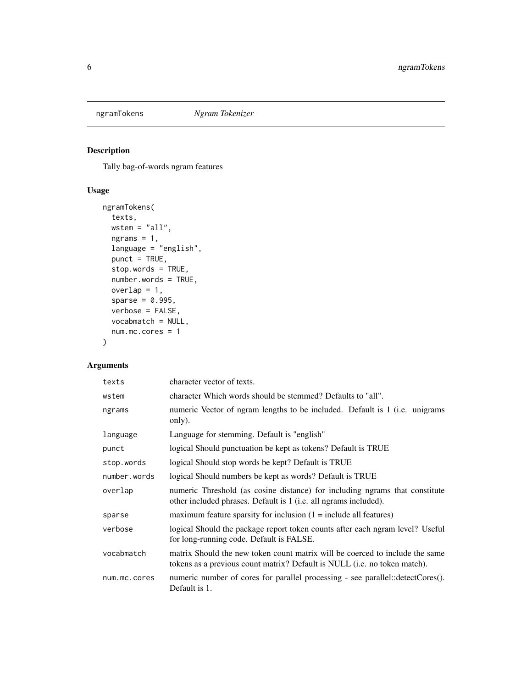<span id="page-5-0"></span>

### Description

Tally bag-of-words ngram features

#### Usage

```
ngramTokens(
  texts,
 wstem = "all",ngrams = 1,
 language = "english",
 punct = TRUE,
 stop.words = TRUE,
 number.words = TRUE,
 overlap = 1,sparse = 0.995,
  verbose = FALSE,
  vocabmatch = NULL,
 num.mc.cores = 1
)
```
### Arguments

| texts        | character vector of texts.                                                                                                                                |
|--------------|-----------------------------------------------------------------------------------------------------------------------------------------------------------|
| wstem        | character Which words should be stemmed? Defaults to "all".                                                                                               |
| ngrams       | numeric Vector of ngram lengths to be included. Default is 1 (i.e. unigrams<br>only).                                                                     |
| language     | Language for stemming. Default is "english"                                                                                                               |
| punct        | logical Should punctuation be kept as tokens? Default is TRUE                                                                                             |
| stop.words   | logical Should stop words be kept? Default is TRUE                                                                                                        |
| number.words | logical Should numbers be kept as words? Default is TRUE                                                                                                  |
| overlap      | numeric Threshold (as cosine distance) for including ngrams that constitute<br>other included phrases. Default is 1 (i.e. all ngrams included).           |
| sparse       | maximum feature sparsity for inclusion $(1 = \text{include all features})$                                                                                |
| verbose      | logical Should the package report token counts after each ngram level? Useful<br>for long-running code. Default is FALSE.                                 |
| vocabmatch   | matrix Should the new token count matrix will be coerced to include the same<br>tokens as a previous count matrix? Default is NULL (i.e. no token match). |
| num.mc.cores | numeric number of cores for parallel processing - see parallel::detectCores().<br>Default is 1.                                                           |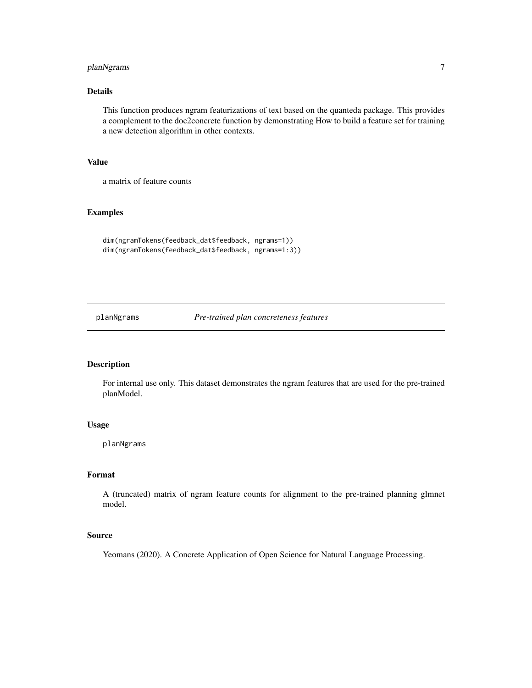#### <span id="page-6-0"></span>planNgrams 7

#### Details

This function produces ngram featurizations of text based on the quanteda package. This provides a complement to the doc2concrete function by demonstrating How to build a feature set for training a new detection algorithm in other contexts.

#### Value

a matrix of feature counts

#### Examples

```
dim(ngramTokens(feedback_dat$feedback, ngrams=1))
dim(ngramTokens(feedback_dat$feedback, ngrams=1:3))
```
planNgrams *Pre-trained plan concreteness features*

#### Description

For internal use only. This dataset demonstrates the ngram features that are used for the pre-trained planModel.

#### Usage

planNgrams

#### Format

A (truncated) matrix of ngram feature counts for alignment to the pre-trained planning glmnet model.

#### Source

Yeomans (2020). A Concrete Application of Open Science for Natural Language Processing.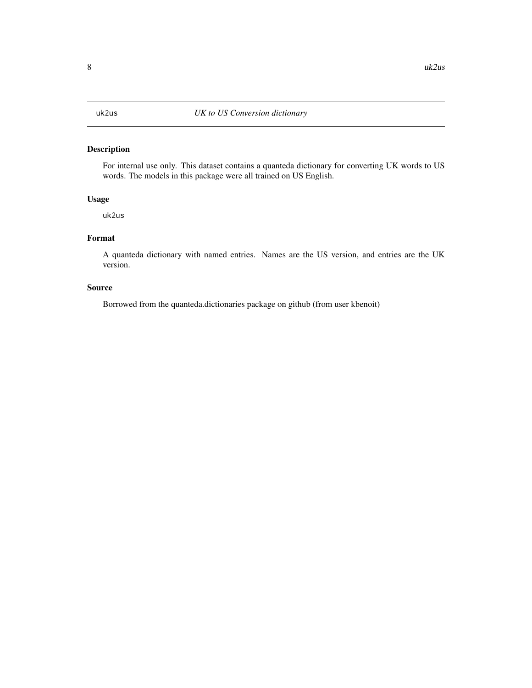#### <span id="page-7-0"></span>Description

For internal use only. This dataset contains a quanteda dictionary for converting UK words to US words. The models in this package were all trained on US English.

#### Usage

uk2us

#### Format

A quanteda dictionary with named entries. Names are the US version, and entries are the UK version.

#### Source

Borrowed from the quanteda.dictionaries package on github (from user kbenoit)